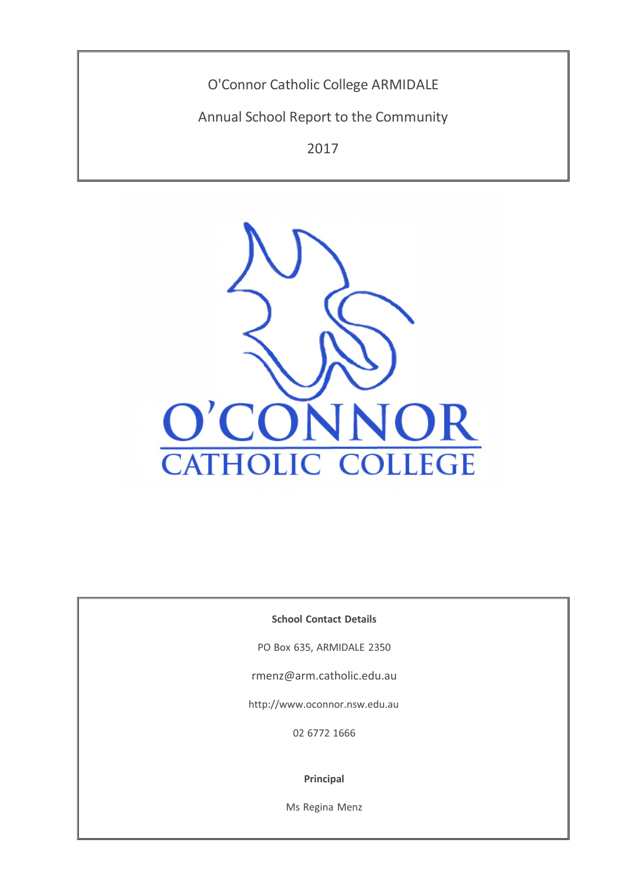O'Connor Catholic College ARMIDALE

Annual School Report to the Community

2017



**School Contact Details**

PO Box 635, ARMIDALE 2350

rmenz@arm.catholic.edu.au

http://www.oconnor.nsw.edu.au

02 6772 1666

**Principal**

Ms Regina Menz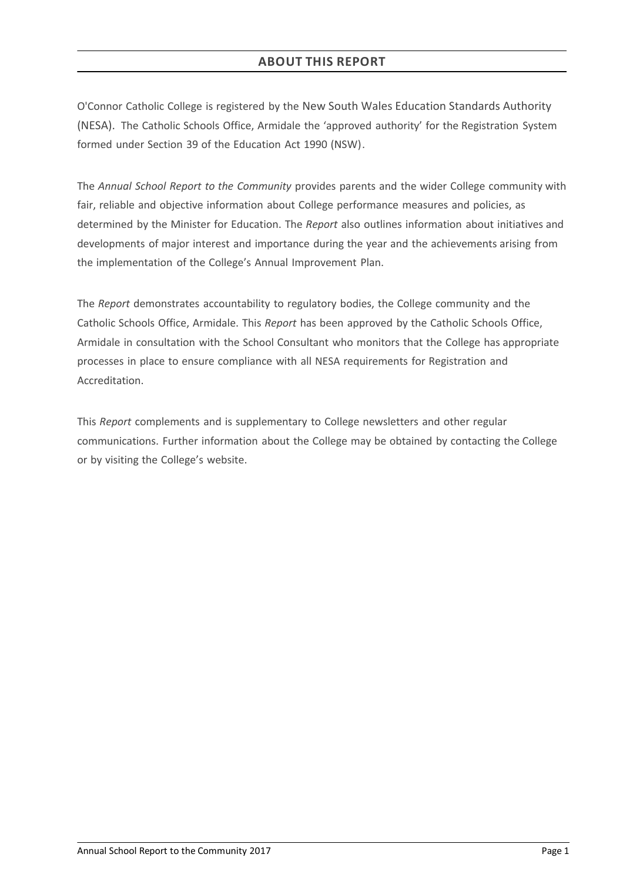# **ABOUT THIS REPORT**

O'Connor Catholic College is registered by the New South Wales Education Standards Authority (NESA). The Catholic Schools Office, Armidale the 'approved authority' for the Registration System formed under Section 39 of the Education Act 1990 (NSW).

The *Annual School Report to the Community* provides parents and the wider College community with fair, reliable and objective information about College performance measures and policies, as determined by the Minister for Education. The *Report* also outlines information about initiatives and developments of major interest and importance during the year and the achievements arising from the implementation of the College's Annual Improvement Plan.

The *Report* demonstrates accountability to regulatory bodies, the College community and the Catholic Schools Office, Armidale. This *Report* has been approved by the Catholic Schools Office, Armidale in consultation with the School Consultant who monitors that the College has appropriate processes in place to ensure compliance with all NESA requirements for Registration and Accreditation.

This *Report* complements and is supplementary to College newsletters and other regular communications. Further information about the College may be obtained by contacting the College or by visiting the College's website.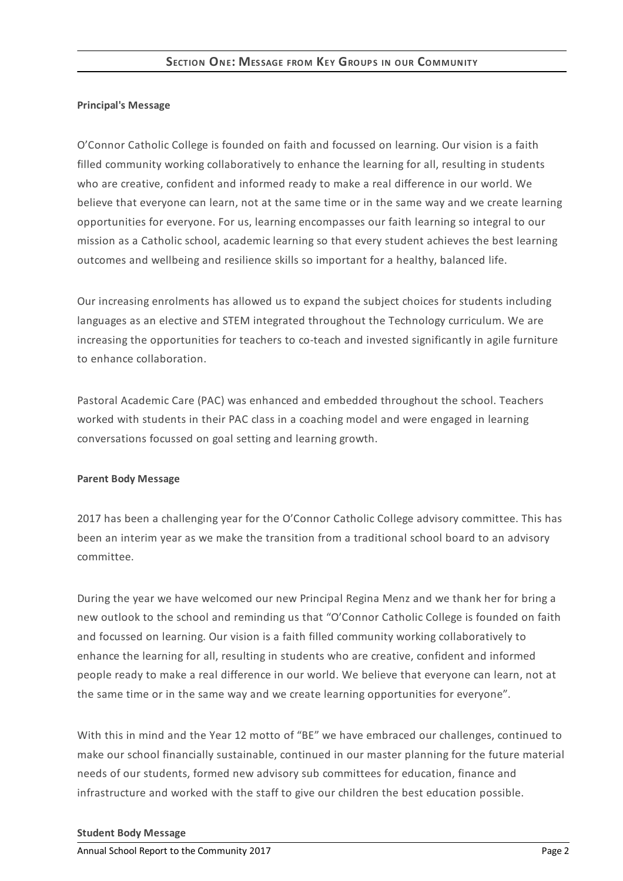## **Principal's Message**

O'Connor Catholic College is founded on faith and focussed on learning. Our vision is a faith filled community working collaboratively to enhance the learning for all, resulting in students who are creative, confident and informed ready to make a real difference in our world. We believe that everyone can learn, not at the same time or in the same way and we create learning opportunities for everyone. For us, learning encompasses our faith learning so integral to our mission as a Catholic school, academic learning so that every student achieves the best learning outcomes and wellbeing and resilience skills so important for a healthy, balanced life.

Our increasing enrolments has allowed us to expand the subject choices for students including languages as an elective and STEM integrated throughout the Technology curriculum. We are increasing the opportunities for teachers to co-teach and invested significantly in agile furniture to enhance collaboration.

Pastoral Academic Care (PAC) was enhanced and embedded throughout the school. Teachers worked with students in their PAC class in a coaching model and were engaged in learning conversations focussed on goal setting and learning growth.

## **Parent Body Message**

2017 has been a challenging year for the O'Connor Catholic College advisory committee. This has been an interim year as we make the transition from a traditional school board to an advisory committee.

During the year we have welcomed our new Principal Regina Menz and we thank her for bring a new outlook to the school and reminding us that "O'Connor Catholic College is founded on faith and focussed on learning. Our vision is a faith filled community working collaboratively to enhance the learning for all, resulting in students who are creative, confident and informed people ready to make a real difference in our world. We believe that everyone can learn, not at the same time or in the same way and we create learning opportunities for everyone".

With this in mind and the Year 12 motto of "BE" we have embraced our challenges, continued to make our school financially sustainable, continued in our master planning for the future material needs of our students, formed new advisory sub committees for education, finance and infrastructure and worked with the staff to give our children the best education possible.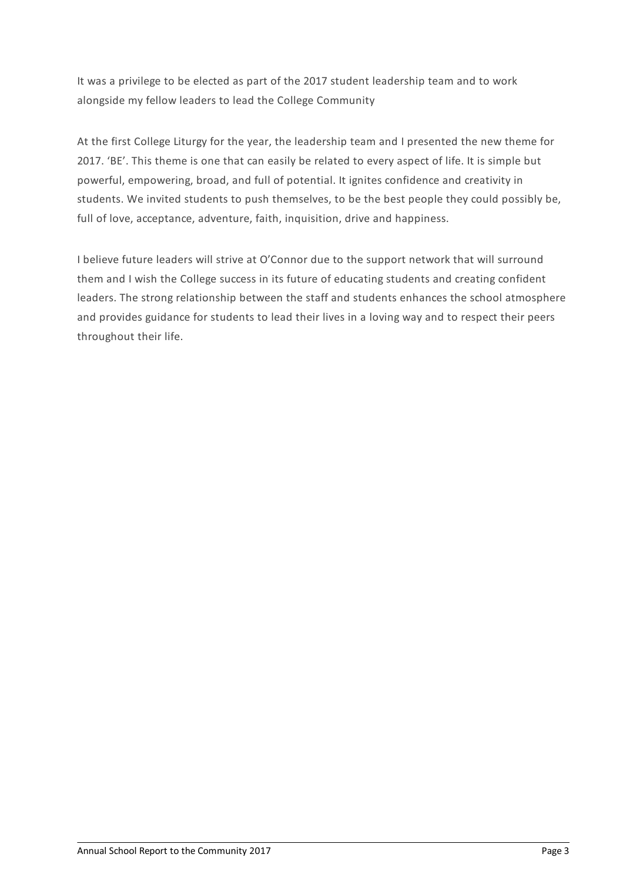It was a privilege to be elected as part of the 2017 student leadership team and to work alongside my fellow leaders to lead the College Community

At the first College Liturgy for the year, the leadership team and I presented the new theme for 2017. 'BE'. This theme is one that can easily be related to every aspect of life. It is simple but powerful, empowering, broad, and full of potential. It ignites confidence and creativity in students. We invited students to push themselves, to be the best people they could possibly be, full of love, acceptance, adventure, faith, inquisition, drive and happiness.

I believe future leaders will strive at O'Connor due to the support network that will surround them and I wish the College success in its future of educating students and creating confident leaders. The strong relationship between the staff and students enhances the school atmosphere and provides guidance for students to lead their lives in a loving way and to respect their peers throughout their life.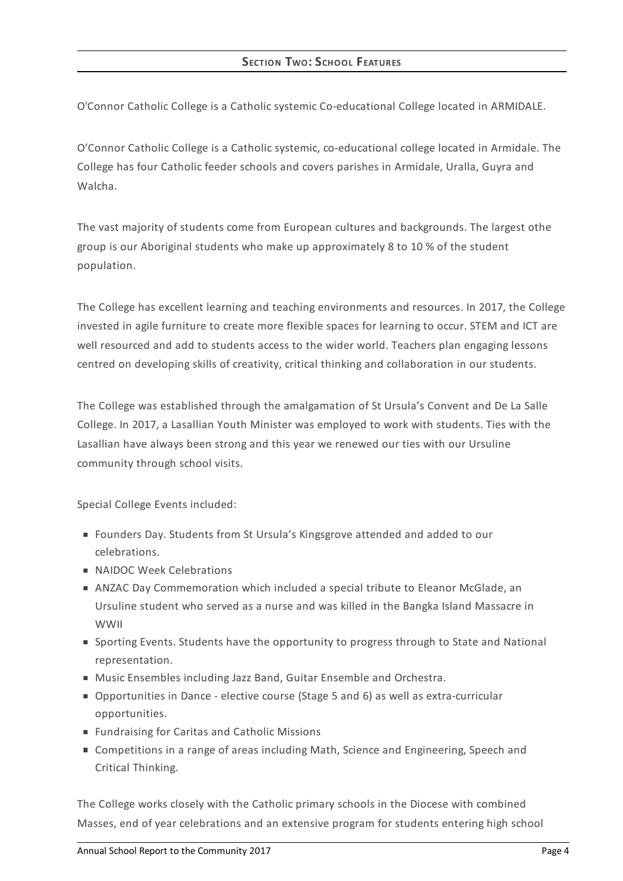O'Connor Catholic College is a Catholic systemic Co-educational College located in ARMIDALE.

O'Connor Catholic College is a Catholic systemic, co-educational college located in Armidale. The College has four Catholic feeder schools and covers parishes in Armidale, Uralla, Guyra and Walcha.

The vast majority of students come from European cultures and backgrounds. The largest othe group is our Aboriginal students who make up approximately 8 to 10 % of the student population.

The College has excellent learning and teaching environments and resources. In 2017, the College invested in agile furniture to create more flexible spaces for learning to occur. STEM and ICT are well resourced and add to students access to the wider world. Teachers plan engaging lessons centred on developing skills of creativity, critical thinking and collaboration in our students.

The College was established through the amalgamation of St Ursula's Convent and De La Salle College. In 2017, a Lasallian Youth Minister was employed to work with students. Ties with the Lasallian have always been strong and this year we renewed our ties with our Ursuline community through school visits.

Special College Events included:

- Founders Day. Students from St Ursula's Kingsgrove attended and added to our celebrations.
- **NAIDOC Week Celebrations**
- ANZAC Day Commemoration which included a special tribute to Eleanor McGlade, an Ursuline student who served as a nurse and was killed in the Bangka Island Massacre in WWII
- Sporting Events. Students have the opportunity to progress through to State and National representation.
- MusicEnsembles including Jazz Band, Guitar Ensemble and Orchestra.
- Opportunities in Dance elective course (Stage 5 and 6) as well as extra-curricular opportunities.
- Fundraising for Caritas and Catholic Missions
- Competitions in a range of areas including Math, Science and Engineering, Speech and Critical Thinking.

The College works closely with the Catholic primary schools in the Diocese with combined Masses, end of year celebrations and an extensive program for students entering high school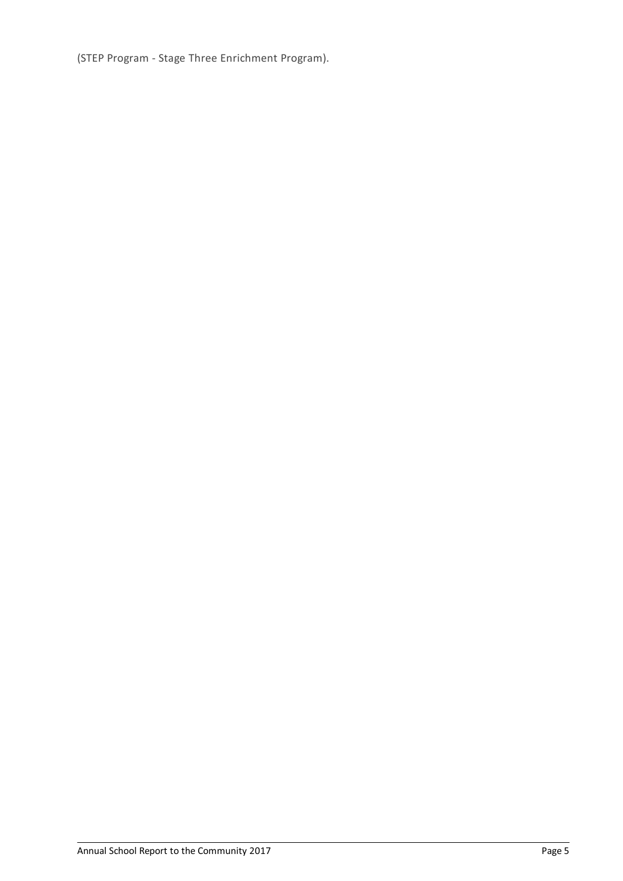(STEP Program - Stage Three Enrichment Program).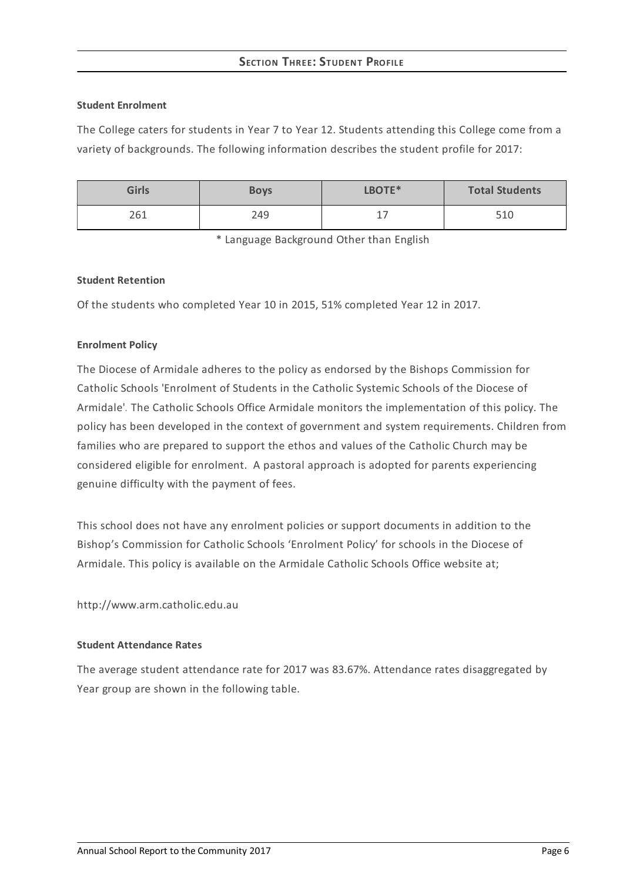# **SECTION THREE: STUDEN T PROFILE**

### **Student Enrolment**

The College caters for students in Year 7 to Year 12. Students attending this College come from a variety of backgrounds. The following information describes the student profile for 2017:

| <b>Girls</b> | <b>Boys</b> | LBOTE* | <b>Total Students</b> |
|--------------|-------------|--------|-----------------------|
| 261          | 249         | --     | 510                   |

\* Language Background Other than English

### **Student Retention**

Of the students who completed Year 10 in 2015, 51% completed Year 12 in 2017.

## **Enrolment Policy**

The Diocese of Armidale adheres to the policy as endorsed by the Bishops Commission for Catholic Schools 'Enrolment of Students in the Catholic Systemic Schools of the Diocese of Armidale'*[.](http://www.ceosyd.catholic.edu.au/About/Pages/pol-pos-papers.aspx)* The Catholic Schools Office Armidale monitors the implementation of this policy. The policy has been developed in the context of government and system requirements. Children from families who are prepared to support the ethos and values of the Catholic Church may be considered eligible for enrolment. A pastoral approach is adopted for parents experiencing genuine difficulty with the payment of fees.

This school does not have any enrolment policies or support documents in addition to the Bishop's Commission for Catholic Schools 'Enrolment Policy' for schools in the Diocese of Armidale. This policy is available on the Armidale Catholic Schools Office website at;

http://www.arm.catholic.edu.au

#### **Student Attendance Rates**

The average student attendance rate for 2017 was 83.67%. Attendance rates disaggregated by Year group are shown in the following table.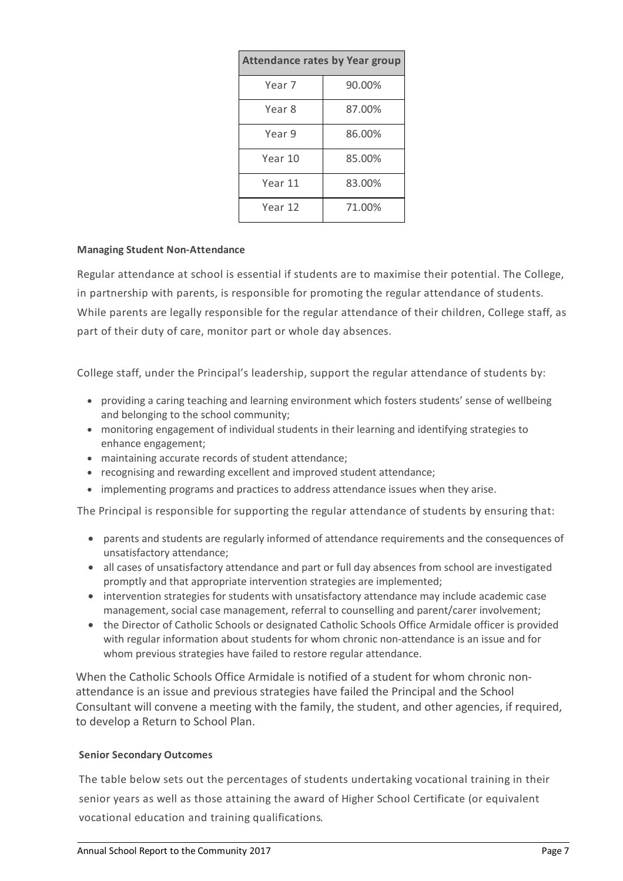| <b>Attendance rates by Year group</b> |        |  |  |  |
|---------------------------------------|--------|--|--|--|
| Year 7                                | 90.00% |  |  |  |
| Year 8                                | 87.00% |  |  |  |
| Year 9                                | 86.00% |  |  |  |
| Year 10                               | 85.00% |  |  |  |
| Year 11                               | 83.00% |  |  |  |
| Year 12                               | 71.00% |  |  |  |

## **Managing Student Non-Attendance**

Regular attendance at school is essential if students are to maximise their potential. The College, in partnership with parents, is responsible for promoting the regular attendance of students. While parents are legally responsible for the regular attendance of their children, College staff, as part of their duty of care, monitor part or whole day absences.

College staff, under the Principal's leadership, support the regular attendance of students by:

- providing a caring teaching and learning environment which fosters students' sense of wellbeing and belonging to the school community;
- monitoring engagement of individual students in their learning and identifying strategies to enhance engagement;
- maintaining accurate records of student attendance;
- recognising and rewarding excellent and improved student attendance;
- implementing programs and practices to address attendance issues when they arise.

The Principal is responsible for supporting the regular attendance of students by ensuring that:

- parents and students are regularly informed of attendance requirements and the consequences of unsatisfactory attendance;
- all cases of unsatisfactory attendance and part or full day absences from school are investigated promptly and that appropriate intervention strategies are implemented;
- intervention strategies for students with unsatisfactory attendance may include academic case management, social case management, referral to counselling and parent/carer involvement;
- the Director of Catholic Schools or designated Catholic Schools Office Armidale officer is provided with regular information about students for whom chronic non-attendance is an issue and for whom previous strategies have failed to restore regular attendance.

When the Catholic Schools Office Armidale is notified of a student for whom chronic nonattendance is an issue and previous strategies have failed the Principal and the School Consultant will convene a meeting with the family, the student, and other agencies, if required, to develop a Return to School Plan.

#### **Senior Secondary Outcomes**

The table below sets out the percentages of students undertaking vocational training in their senior years as well as those attaining the award of Higher School Certificate (or equivalent vocational education and training qualifications.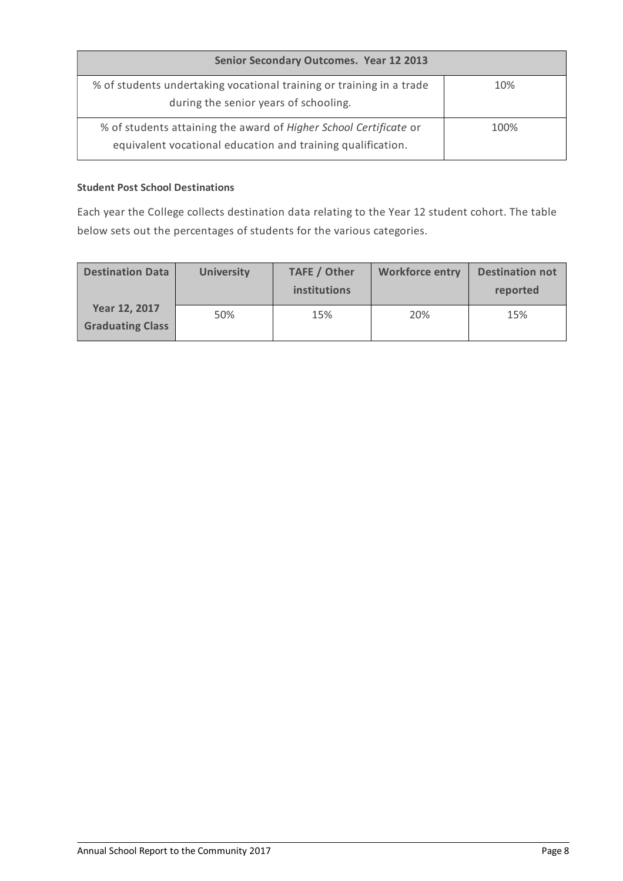| Senior Secondary Outcomes. Year 12 2013                                                                                          |      |
|----------------------------------------------------------------------------------------------------------------------------------|------|
| % of students undertaking vocational training or training in a trade<br>during the senior years of schooling.                    | 10%  |
| % of students attaining the award of Higher School Certificate or<br>equivalent vocational education and training qualification. | 100% |

# **Student Post School Destinations**

Each year the College collects destination data relating to the Year 12 student cohort. The table below sets out the percentages of students for the various categories.

| <b>Destination Data</b>                  | <b>University</b> | <b>TAFE / Other</b><br>institutions | <b>Workforce entry</b> | <b>Destination not</b><br>reported |
|------------------------------------------|-------------------|-------------------------------------|------------------------|------------------------------------|
| Year 12, 2017<br><b>Graduating Class</b> | 50%               | 15%                                 | 20%                    | 15%                                |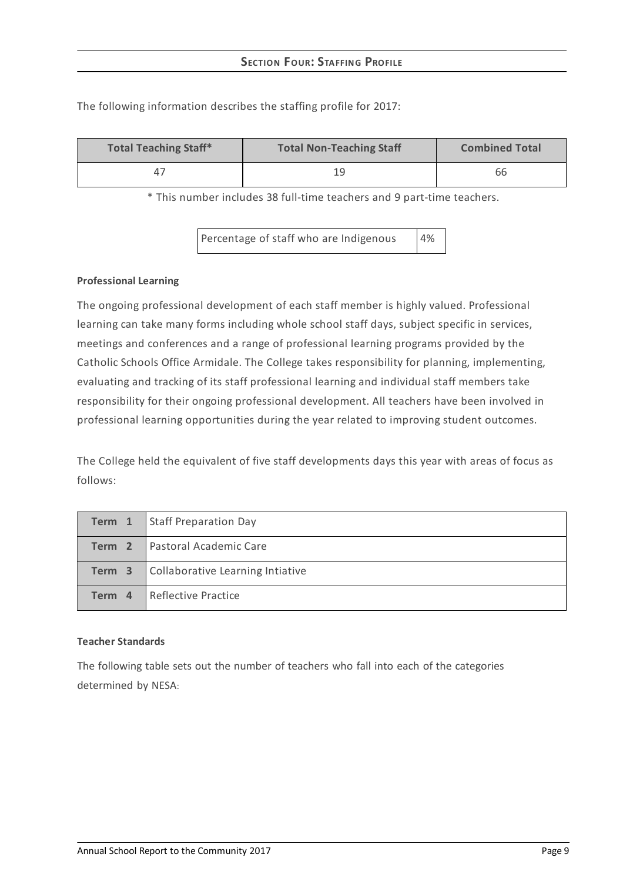| <b>Total Teaching Staff*</b> | <b>Total Non-Teaching Staff</b> | <b>Combined Total</b> |
|------------------------------|---------------------------------|-----------------------|
| $\Delta^-$                   | ١q                              | 66                    |

The following information describes the staffing profile for 2017:

\* This number includes 38 full-time teachers and 9 part-time teachers.

Percentage of staff who are Indigenous 4%

### **Professional Learning**

The ongoing professional development of each staff member is highly valued. Professional learning can take many forms including whole school staff days, subject specific in services, meetings and conferences and a range of professional learning programs provided by the Catholic Schools Office Armidale. The College takes responsibility for planning, implementing, evaluating and tracking of its staff professional learning and individual staff members take responsibility for their ongoing professional development. All teachers have been involved in professional learning opportunities during the year related to improving student outcomes.

The College held the equivalent of five staff developments days this year with areas of focus as follows:

|        | <b>Term 1</b> Staff Preparation Day |
|--------|-------------------------------------|
| Term 2 | <b>Pastoral Academic Care</b>       |
| Term 3 | Collaborative Learning Intiative    |
| Term 4 | <b>I</b> Reflective Practice        |

#### **Teacher Standards**

The following table sets out the number of teachers who fall into each of the categories determined by NESA: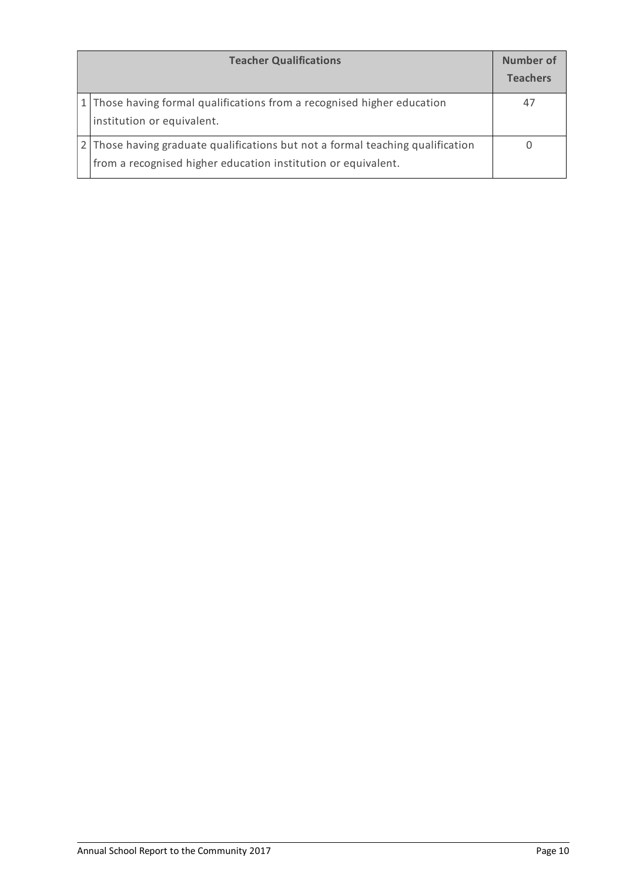| <b>Teacher Qualifications</b>                                                                                                                   | Number of<br><b>Teachers</b> |
|-------------------------------------------------------------------------------------------------------------------------------------------------|------------------------------|
| 1 Those having formal qualifications from a recognised higher education<br>institution or equivalent.                                           | 47                           |
| 2 Those having graduate qualifications but not a formal teaching qualification<br>from a recognised higher education institution or equivalent. |                              |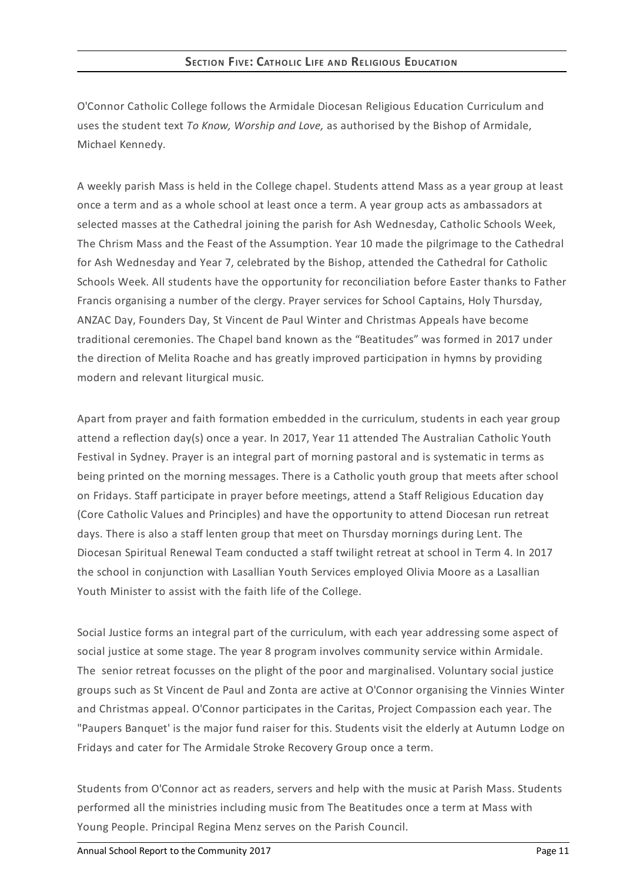O'Connor Catholic College follows the Armidale Diocesan Religious Education Curriculum and uses the student text *To Know, Worship and Love,* as authorised by the Bishop of Armidale, Michael Kennedy.

A weekly parish Mass is held in the College chapel. Students attend Mass as a year group at least once a term and as a whole school at least once a term. A year group acts as ambassadors at selected masses at the Cathedral joining the parish for Ash Wednesday, Catholic Schools Week, The Chrism Mass and the Feast of the Assumption. Year 10 made the pilgrimage to the Cathedral for Ash Wednesday and Year 7, celebrated by the Bishop, attended the Cathedral for Catholic Schools Week. All students have the opportunity for reconciliation before Easter thanks to Father Francis organising a number of the clergy. Prayer services for School Captains, Holy Thursday, ANZAC Day, Founders Day, St Vincent de Paul Winter and Christmas Appeals have become traditional ceremonies. The Chapel band known as the "Beatitudes" was formed in 2017 under the direction of Melita Roache and has greatly improved participation in hymns by providing modern and relevant liturgical music.

Apart from prayer and faith formation embedded in the curriculum, students in each year group attend a reflection day(s) once a year. In 2017, Year 11 attended The Australian Catholic Youth Festival in Sydney. Prayer is an integral part of morning pastoral and is systematic in terms as being printed on the morning messages. There is a Catholic youth group that meets after school on Fridays. Staff participate in prayer before meetings, attend a Staff Religious Education day (Core Catholic Values and Principles) and have the opportunity to attend Diocesan run retreat days. There is also a staff lenten group that meet on Thursday mornings during Lent. The Diocesan Spiritual Renewal Team conducted a staff twilight retreat at school in Term 4. In 2017 the school in conjunction with Lasallian Youth Services employed Olivia Moore as a Lasallian Youth Minister to assist with the faith life of the College.

Social Justice forms an integral part of the curriculum, with each year addressing some aspect of social justice at some stage. The year 8 program involves community service within Armidale. The senior retreat focusses on the plight of the poor and marginalised. Voluntary social justice groups such as St Vincent de Paul and Zonta are active at O'Connor organising the Vinnies Winter and Christmas appeal. O'Connor participates in the Caritas, Project Compassion each year. The "Paupers Banquet' is the major fund raiser for this. Students visit the elderly at Autumn Lodge on Fridays and cater for The Armidale Stroke Recovery Group once a term.

Students from O'Connor act as readers, servers and help with the music at Parish Mass. Students performed all the ministries including music from The Beatitudes once a term at Mass with Young People. Principal Regina Menz serves on the Parish Council.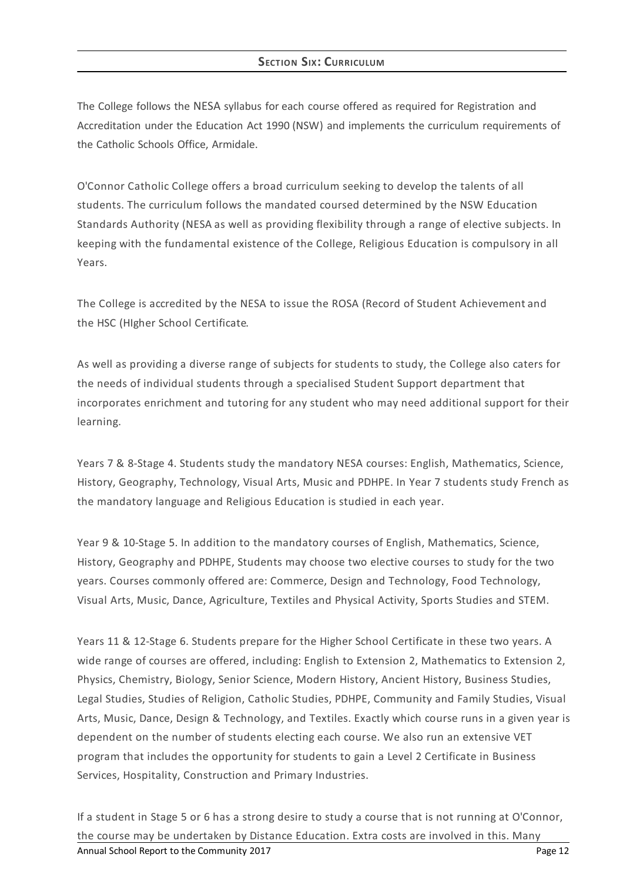# **SECTION SIX: CURRICULUM**

The College follows the NESA syllabus for each course offered as required for Registration and Accreditation under the Education Act 1990 (NSW) and implements the curriculum requirements of the Catholic Schools Office, Armidale.

O'Connor Catholic College offers a broad curriculum seeking to develop the talents of all students. The curriculum follows the mandated coursed determined by the NSW Education Standards Authority (NESA as well as providing flexibility through a range of elective subjects. In keeping with the fundamental existence of the College, Religious Education is compulsory in all Years.

The College is accredited by the NESA to issue the ROSA (Record of Student Achievementand the HSC (HIgher School Certificate.

As well as providing a diverse range of subjects for students to study, the College also caters for the needs of individual students through a specialised Student Support department that incorporates enrichment and tutoring for any student who may need additional support for their learning.

Years 7 & 8-Stage 4. Students study the mandatory NESA courses: English, Mathematics, Science, History, Geography, Technology, Visual Arts, Music and PDHPE. In Year 7 students study French as the mandatory language and Religious Education is studied in each year.

Year 9 & 10-Stage 5. In addition to the mandatory courses of English, Mathematics, Science, History, Geography and PDHPE, Students may choose two elective courses to study for the two years. Courses commonly offered are: Commerce, Design and Technology, Food Technology, Visual Arts, Music, Dance, Agriculture, Textiles and Physical Activity, Sports Studies and STEM.

Years 11 & 12-Stage 6. Students prepare for the Higher School Certificate in these two years. A wide range of courses are offered, including: English to Extension 2, Mathematics to Extension 2, Physics, Chemistry, Biology, Senior Science, Modern History, Ancient History, Business Studies, Legal Studies, Studies of Religion, Catholic Studies, PDHPE, Community and Family Studies, Visual Arts, Music, Dance, Design & Technology, and Textiles. Exactly which course runs in a given year is dependent on the number of students electing each course. We also run an extensive VET program that includes the opportunity for students to gain a Level 2 Certificate in Business Services, Hospitality, Construction and Primary Industries.

If a student in Stage 5 or 6 has a strong desire to study a course that is not running at O'Connor, the course may be undertaken by Distance Education. Extra costs are involved in this. Many Annual School Report to the Community 2017 **Page 12 Page 12 Page 12 Page 12**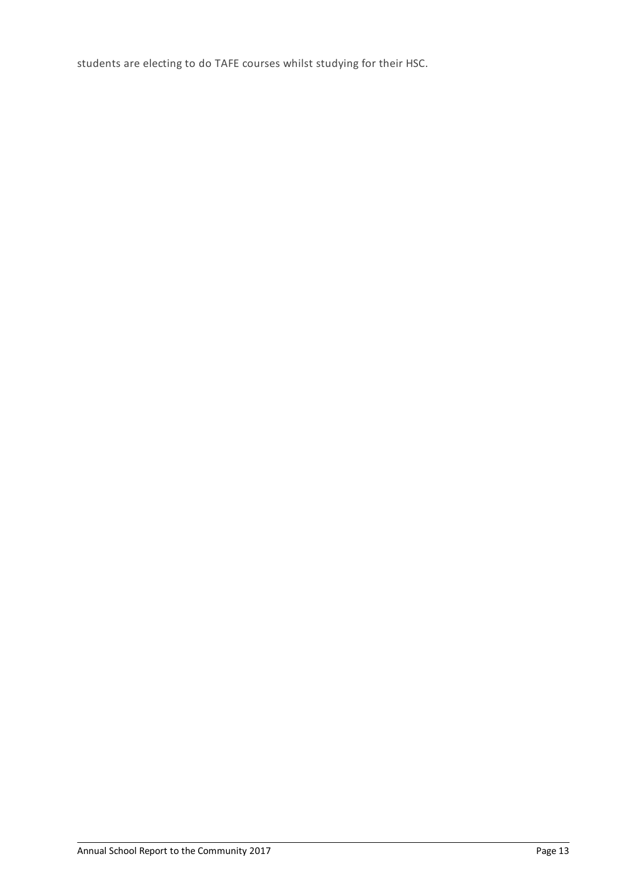students are electing to do TAFE courses whilst studying for their HSC.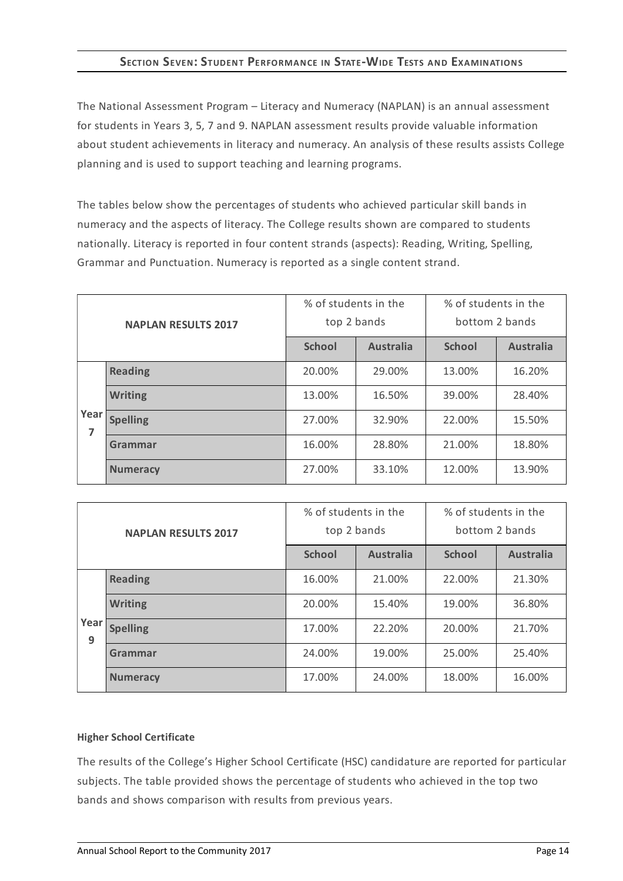# **SECTION SEVEN:STUDENT PERFORMANCE IN STATE-WIDE TESTS AND EXAMINATIONS**

The National Assessment Program – Literacy and Numeracy (NAPLAN) is an annual assessment for students in Years 3, 5, 7 and 9. NAPLAN assessment results provide valuable information about student achievements in literacy and numeracy. An analysis of these results assists College planning and is used to support teaching and learning programs.

The tables below show the percentages of students who achieved particular skill bands in numeracy and the aspects of literacy. The College results shown are compared to students nationally. Literacy is reported in four content strands (aspects): Reading, Writing, Spelling, Grammar and Punctuation. Numeracy is reported as a single content strand.

| <b>NAPLAN RESULTS 2017</b> |                 | % of students in the<br>top 2 bands |                  | % of students in the<br>bottom 2 bands |                  |
|----------------------------|-----------------|-------------------------------------|------------------|----------------------------------------|------------------|
|                            |                 | <b>School</b>                       | <b>Australia</b> | <b>School</b>                          | <b>Australia</b> |
|                            | <b>Reading</b>  | 20.00%                              | 29.00%           | 13.00%                                 | 16.20%           |
|                            | <b>Writing</b>  | 13.00%                              | 16.50%           | 39.00%                                 | 28.40%           |
| Year<br>7                  | <b>Spelling</b> | 27.00%                              | 32.90%           | 22.00%                                 | 15.50%           |
|                            | Grammar         | 16.00%                              | 28.80%           | 21.00%                                 | 18.80%           |
|                            | <b>Numeracy</b> | 27.00%                              | 33.10%           | 12.00%                                 | 13.90%           |

| <b>NAPLAN RESULTS 2017</b> |                 | % of students in the<br>top 2 bands |                  | % of students in the<br>bottom 2 bands |                  |
|----------------------------|-----------------|-------------------------------------|------------------|----------------------------------------|------------------|
|                            |                 | <b>School</b>                       | <b>Australia</b> | <b>School</b>                          | <b>Australia</b> |
|                            | <b>Reading</b>  | 16.00%                              | 21.00%           | 22.00%                                 | 21.30%           |
| Year<br>9                  | <b>Writing</b>  | 20.00%                              | 15.40%           | 19.00%                                 | 36.80%           |
|                            | <b>Spelling</b> | 17.00%                              | 22.20%           | 20.00%                                 | 21.70%           |
|                            | Grammar         | 24.00%                              | 19.00%           | 25.00%                                 | 25.40%           |
|                            | <b>Numeracy</b> | 17.00%                              | 24.00%           | 18.00%                                 | 16.00%           |

## **Higher School Certificate**

The results of the College's Higher School Certificate (HSC) candidature are reported for particular subjects. The table provided shows the percentage of students who achieved in the top two bands and shows comparison with results from previous years.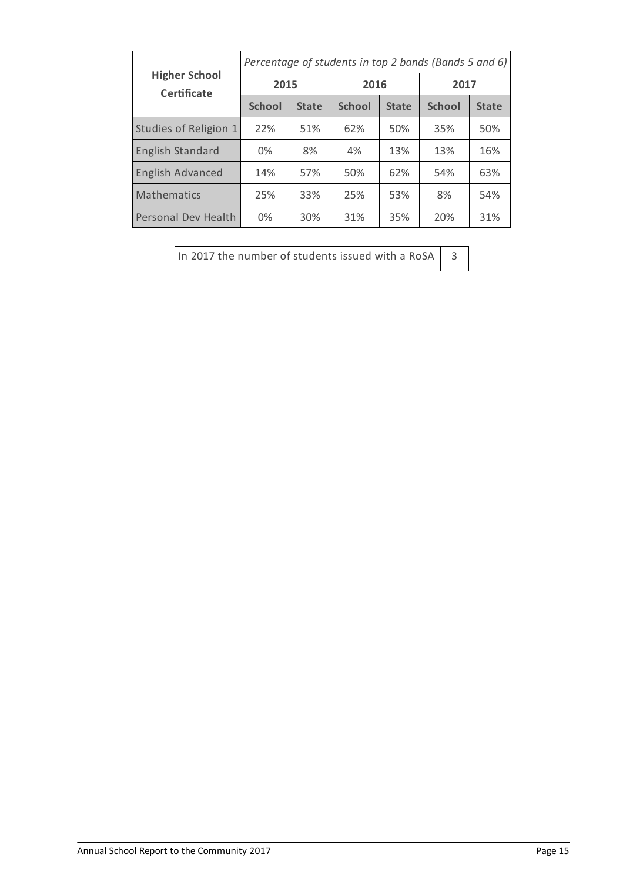|                                     | Percentage of students in top 2 bands (Bands 5 and 6) |              |               |              |               |              |  |
|-------------------------------------|-------------------------------------------------------|--------------|---------------|--------------|---------------|--------------|--|
| <b>Higher School</b><br>Certificate | 2015                                                  |              | 2016          |              | 2017          |              |  |
|                                     | <b>School</b>                                         | <b>State</b> | <b>School</b> | <b>State</b> | <b>School</b> | <b>State</b> |  |
| Studies of Religion 1               | 22%                                                   | 51%          | 62%           | 50%          | 35%           | 50%          |  |
| <b>English Standard</b>             | 0%                                                    | 8%           | 4%            | 13%          | 13%           | 16%          |  |
| <b>English Advanced</b>             | 14%                                                   | 57%          | 50%           | 62%          | 54%           | 63%          |  |
| Mathematics                         | 25%                                                   | 33%          | 25%           | 53%          | 8%            | 54%          |  |
| Personal Dev Health                 | 0%                                                    | 30%          | 31%           | 35%          | 20%           | 31%          |  |

In 2017 the number of students issued with a RoSA  $\Big|$  3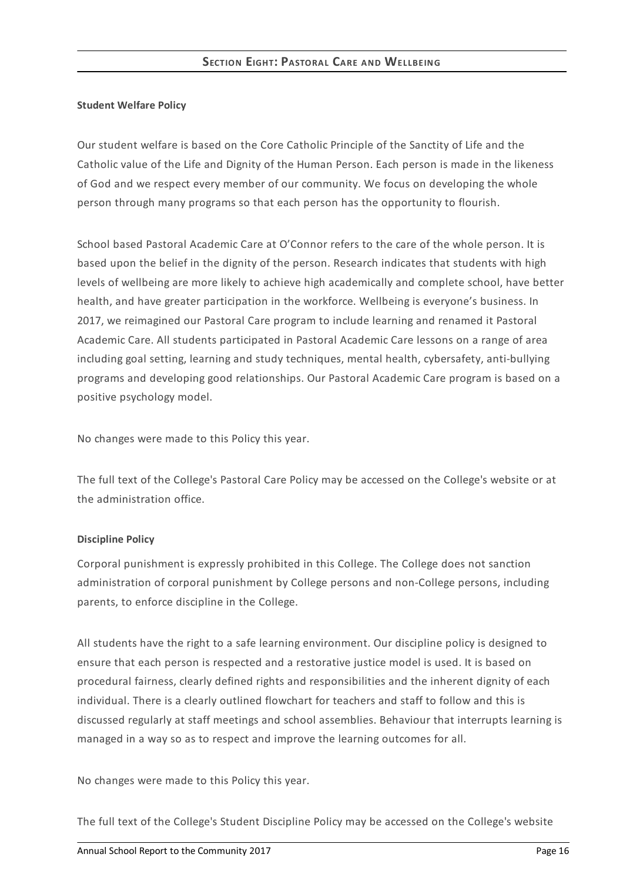## **Student Welfare Policy**

Our student welfare is based on the Core Catholic Principle of the Sanctity of Life and the Catholic value of the Life and Dignity of the Human Person. Each person is made in the likeness of God and we respect every member of our community. We focus on developing the whole person through many programs so that each person has the opportunity to flourish.

School based Pastoral Academic Care at O'Connor refers to the care of the whole person. It is based upon the belief in the dignity of the person. Research indicates that students with high levels of wellbeing are more likely to achieve high academically and complete school, have better health, and have greater participation in the workforce. Wellbeing is everyone's business. In 2017, we reimagined our Pastoral Care program to include learning and renamed it Pastoral Academic Care. All students participated in Pastoral Academic Care lessons on a range of area including goal setting, learning and study techniques, mental health, cybersafety, anti-bullying programs and developing good relationships. Our Pastoral Academic Care program is based on a positive psychology model.

No changes were made to this Policy this year.

The full text of the College's Pastoral Care Policy may be accessed on the College's website or at the administration office.

## **Discipline Policy**

Corporal punishment is expressly prohibited in this College. The College does not sanction administration of corporal punishment by College persons and non-College persons, including parents, to enforce discipline in the College.

All students have the right to a safe learning environment. Our discipline policy is designed to ensure that each person is respected and a restorative justice model is used. It is based on procedural fairness, clearly defined rights and responsibilities and the inherent dignity of each individual. There is a clearly outlined flowchart for teachers and staff to follow and this is discussed regularly at staff meetings and school assemblies. Behaviour that interrupts learning is managed in a way so as to respect and improve the learning outcomes for all.

No changes were made to this Policy this year.

The full text of the College's Student Discipline Policy may be accessed on the College's website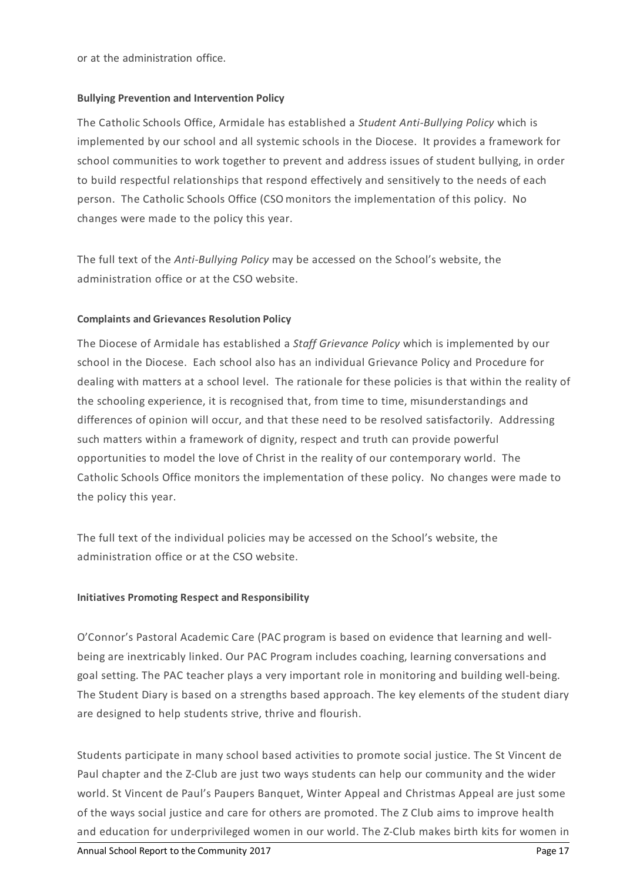or at the administration office.

### **Bullying Prevention and Intervention Policy**

The Catholic Schools Office, Armidale has established a *Student Anti-Bullying Policy* which is implemented by our school and all systemic schools in the Diocese. It provides a framework for school communities to work together to prevent and address issues of student bullying, in order to build respectful relationships that respond effectively and sensitively to the needs of each person. The Catholic Schools Office (CSOmonitors the implementation of this policy. No changes were made to the policy this year.

The full text of the *Anti-Bullying Policy* may be accessed on the School's website, the administration office or at the CSO website.

### **Complaints and Grievances Resolution Policy**

The Diocese of Armidale has established a *Staff Grievance Policy* which is implemented by our school in the Diocese. Each school also has an individual Grievance Policy and Procedure for dealing with matters at a school level. The rationale for these policies is that within the reality of the schooling experience, it is recognised that, from time to time, misunderstandings and differences of opinion will occur, and that these need to be resolved satisfactorily. Addressing such matters within a framework of dignity, respect and truth can provide powerful opportunities to model the love of Christ in the reality of our contemporary world. The Catholic Schools Office monitors the implementation of these policy. No changes were made to the policy this year.

The full text of the individual policies may be accessed on the School's website, the administration office or at the CSO website.

#### **Initiatives Promoting Respect and Responsibility**

O'Connor's Pastoral Academic Care (PAC program is based on evidence that learning and wellbeing are inextricably linked. Our PAC Program includes coaching, learning conversations and goal setting. The PAC teacher plays a very important role in monitoring and building well-being. The Student Diary is based on a strengths based approach. The key elements of the student diary are designed to help students strive, thrive and flourish.

Students participate in many school based activities to promote social justice. The St Vincent de Paul chapter and the Z-Club are just two ways students can help our community and the wider world. St Vincent de Paul's Paupers Banquet, Winter Appeal and Christmas Appeal are just some of the ways social justice and care for others are promoted. The Z Club aims to improve health and education for underprivileged women in our world. The Z-Club makes birth kits for women in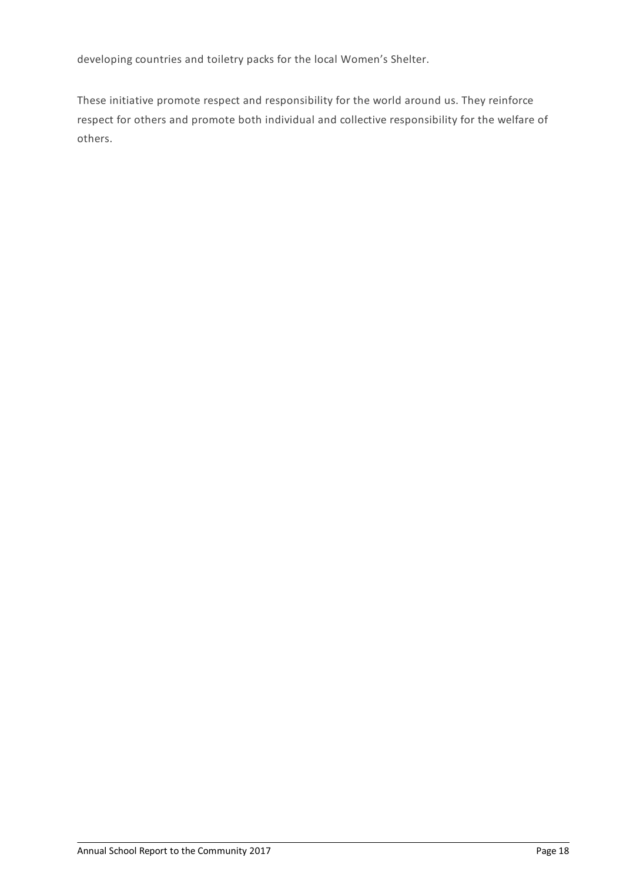developing countries and toiletry packs for the local Women's Shelter.

These initiative promote respect and responsibility for the world around us. They reinforce respect for others and promote both individual and collective responsibility for the welfare of others.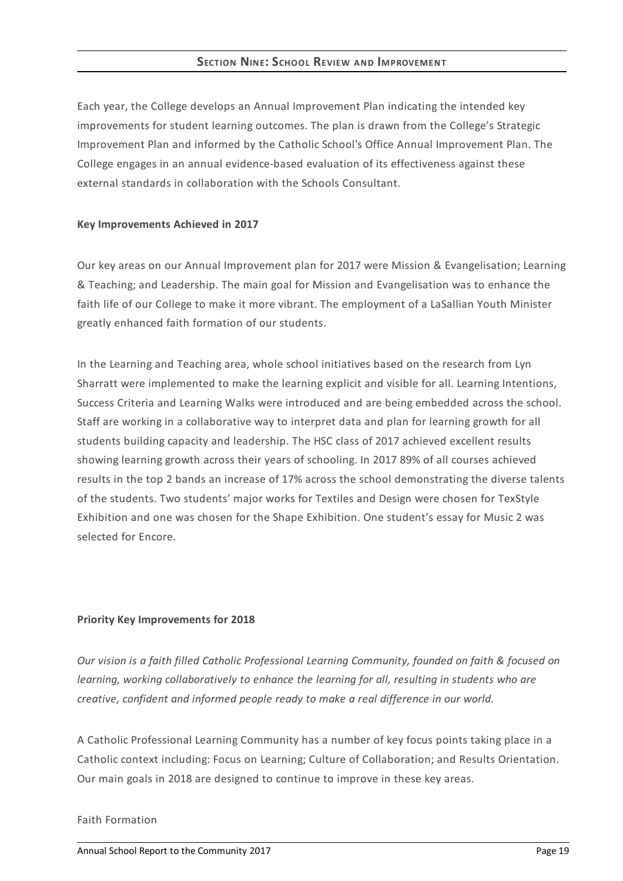## **SECTION NIN E: SCHOOL REVIEW AN D IMP ROVEMEN T**

Each year, the College develops an Annual Improvement Plan indicating the intended key improvements for student learning outcomes. The plan is drawn from the College's Strategic Improvement Plan and informed by the Catholic School's Office Annual Improvement Plan. The College engages in an annual evidence-based evaluation of its effectiveness against these external standards in collaboration with the Schools Consultant.

## **Key Improvements Achieved in 2017**

Our key areas on our Annual Improvement plan for 2017 were Mission & Evangelisation; Learning & Teaching; and Leadership. The main goal for Mission and Evangelisation was to enhance the faith life of our College to make it more vibrant. The employment of a LaSallian Youth Minister greatly enhanced faith formation of our students.

In the Learning and Teaching area, whole school initiatives based on the research from Lyn Sharratt were implemented to make the learning explicit and visible for all. Learning Intentions, Success Criteria and Learning Walks were introduced and are being embedded across the school. Staff are working in a collaborative way to interpret data and plan for learning growth for all students building capacity and leadership. The HSC class of 2017 achieved excellent results showing learning growth across their years of schooling. In 2017 89% of all courses achieved results in the top 2 bands an increase of 17% across the school demonstrating the diverse talents of the students. Two students' major works for Textiles and Design were chosen for TexStyle Exhibition and one was chosen for the Shape Exhibition. One student's essay for Music 2 was selected for Encore.

## **Priority Key Improvements for 2018**

*Our vision is a faith filled Catholic Professional Learning Community, founded on faith & focused on learning, working collaboratively to enhance the learning for all, resulting in students who are creative, confident and informed people ready to make a real difference in our world.*

A Catholic Professional Learning Community has a number of key focus points taking place in a Catholic context including: Focus on Learning; Culture of Collaboration; and Results Orientation. Our main goals in 2018 are designed to continue to improve in these key areas.

## Faith Formation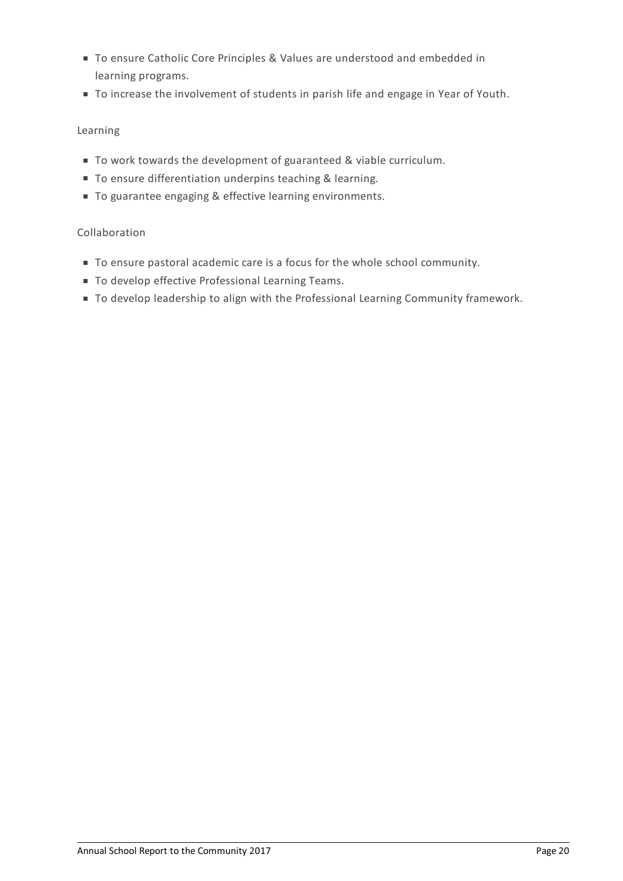- To ensure Catholic Core Principles & Values are understood and embedded in learning programs.
- To increase the involvement of students in parish life and engage in Year of Youth.

# Learning

- To work towards the development of guaranteed & viable curriculum.
- To ensure differentiation underpins teaching & learning.
- To guarantee engaging & effective learning environments.

# Collaboration

- To ensure pastoral academic care is a focus for the whole school community.
- $\blacksquare$  To develop effective Professional Learning Teams.
- $\blacksquare$  To develop leadership to align with the Professional Learning Community framework.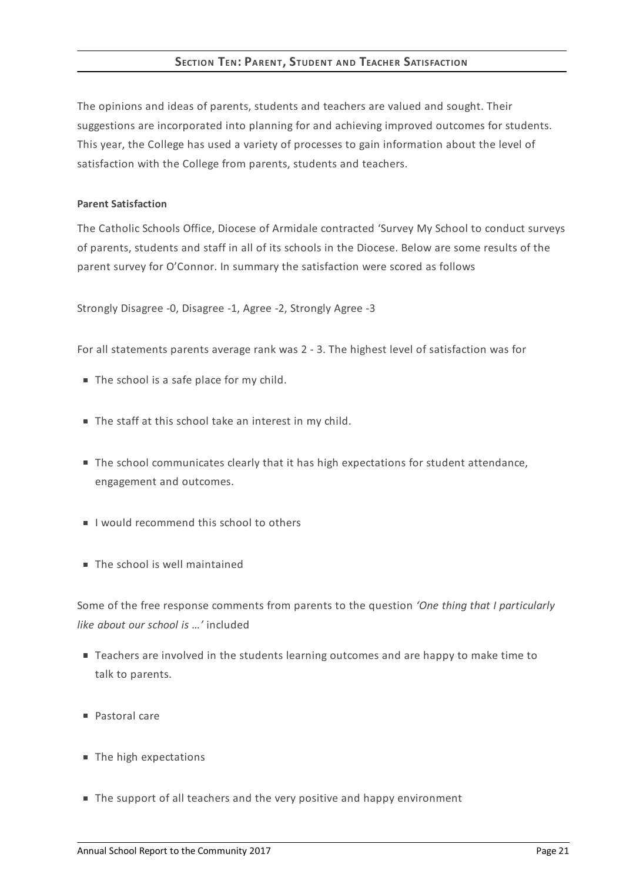# **SECTION TEN: PARENT, STUDENT AND TEACHER SATISFACTION**

The opinions and ideas of parents, students and teachers are valued and sought. Their suggestions are incorporated into planning for and achieving improved outcomes for students. This year, the College has used a variety of processes to gain information about the level of satisfaction with the College from parents, students and teachers.

### **Parent Satisfaction**

The Catholic Schools Office, Diocese of Armidale contracted 'Survey My School to conduct surveys of parents, students and staff in all of its schools in the Diocese. Below are some results of the parent survey for O'Connor. In summary the satisfaction were scored as follows

Strongly Disagree -0, Disagree -1, Agree -2, Strongly Agree -3

For all statements parents average rank was 2 - 3. The highest level of satisfaction was for

- The school is a safe place for my child.
- The staff at this school take an interest in my child.
- The school communicates clearly that it has high expectations for student attendance, engagement and outcomes.
- I would recommend this school to others
- The school is well maintained

Some of the free response comments from parents to the question *'One thing that I particularly like about our school is …'* included

- **Teachers are involved in the students learning outcomes and are happy to make time to** talk to parents.
- Pastoral care
- The high expectations
- The support of all teachers and the very positive and happy environment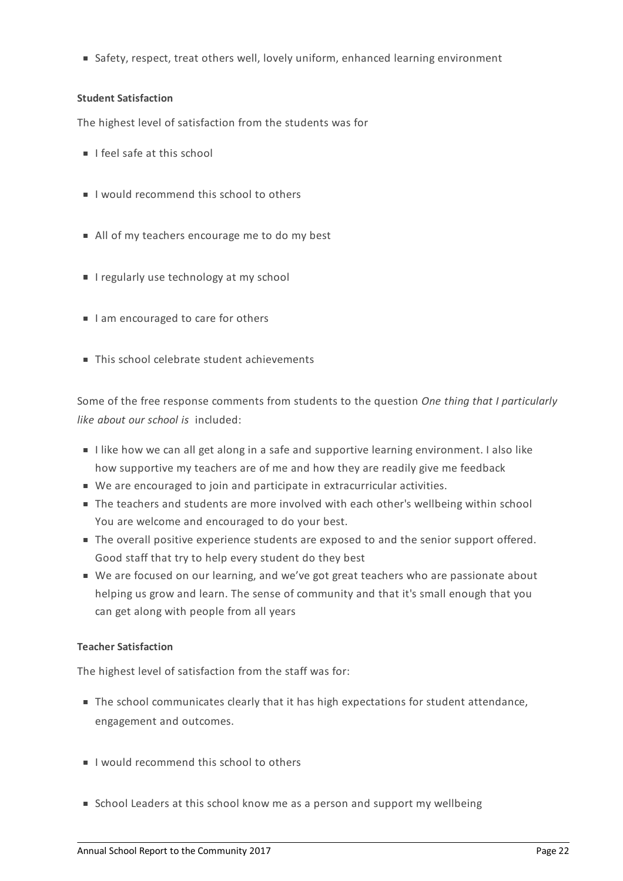Safety, respect, treat others well, lovely uniform, enhanced learning environment

# **Student Satisfaction**

The highest level of satisfaction from the students was for

- $\blacksquare$  I feel safe at this school
- I would recommend this school to others
- All of my teachers encourage me to do my best
- **I** regularly use technology at my school
- I am encouraged to care for others
- This school celebrate student achievements

Some of the free response comments from students to the question *One thing that I particularly like about our school is* included:

- I like how we can all get along in a safe and supportive learning environment. I also like how supportive my teachers are of me and how they are readily give me feedback
- We are encouraged to join and participate in extracurricular activities.
- The teachers and students are more involved with each other's wellbeing within school You are welcome and encouraged to do your best.
- The overall positive experience students are exposed to and the senior support offered. Good staff that try to help every student do they best
- We are focused on our learning, and we've got great teachers who are passionate about helping us grow and learn. The sense of community and that it's small enough that you can get along with people from all years

# **Teacher Satisfaction**

The highest level of satisfaction from the staff was for:

- The school communicates clearly that it has high expectations for student attendance, engagement and outcomes.
- I would recommend this school to others
- School Leaders at this school know me as a person and support my wellbeing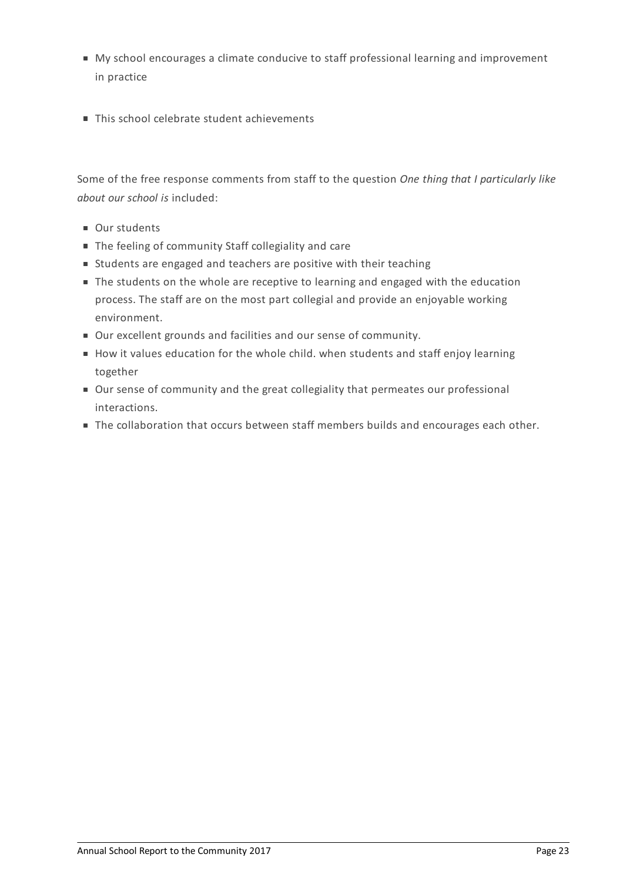- My school encourages a climate conducive to staff professional learning and improvement in practice
- This school celebrate student achievements

Some of the free response comments from staff to the question *One thing that I particularly like about our school is* included:

- Our students
- The feeling of community Staff collegiality and care
- Students are engaged and teachers are positive with their teaching
- The students on the whole are receptive to learning and engaged with the education process. The staff are on the most part collegial and provide an enjoyable working environment.
- Our excellent grounds and facilities and our sense of community.
- How it values education for the whole child. when students and staff enjoy learning together
- Our sense of community and the great collegiality that permeates our professional interactions.
- The collaboration that occurs between staff members builds and encourages each other.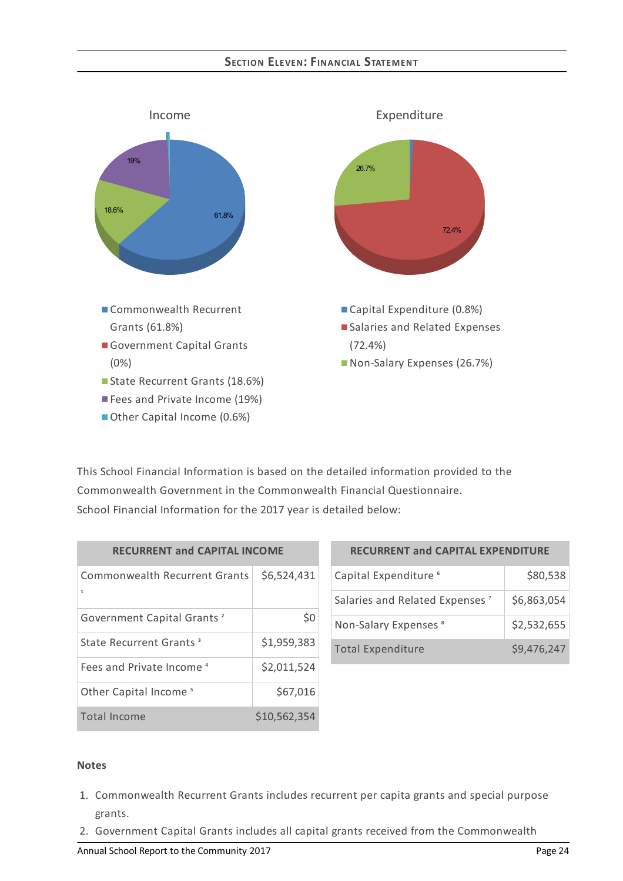# **SECTION ELEVEN: FIN AN CIAL STATEMEN T**



This School Financial Information is based on the detailed information provided to the Commonwealth Government in the Commonwealth Financial Questionnaire. School Financial Information for the 2017 year is detailed below:

| <b>RECURRENT and CAPITAL INCOME</b>       |              |  |  |  |
|-------------------------------------------|--------------|--|--|--|
| <b>Commonwealth Recurrent Grants</b><br>1 | \$6,524,431  |  |  |  |
| Government Capital Grants <sup>2</sup>    | \$0          |  |  |  |
| State Recurrent Grants <sup>3</sup>       | \$1,959,383  |  |  |  |
| Fees and Private Income <sup>4</sup>      | \$2,011,524  |  |  |  |
| Other Capital Income <sup>5</sup>         | \$67,016     |  |  |  |
| Total Income                              | \$10,562,354 |  |  |  |

| <b>RECURRENT and CAPITAL EXPENDITURE</b>   |             |  |  |  |
|--------------------------------------------|-------------|--|--|--|
| Capital Expenditure <sup>6</sup>           | \$80,538    |  |  |  |
| Salaries and Related Expenses <sup>7</sup> | \$6,863,054 |  |  |  |
| Non-Salary Expenses <sup>8</sup>           | \$2,532,655 |  |  |  |
| <b>Total Expenditure</b>                   | \$9,476,247 |  |  |  |

#### **Notes**

- 1. Commonwealth Recurrent Grants includes recurrent per capita grants and special purpose grants.
- 2. Government Capital Grants includes all capital grants received from the Commonwealth